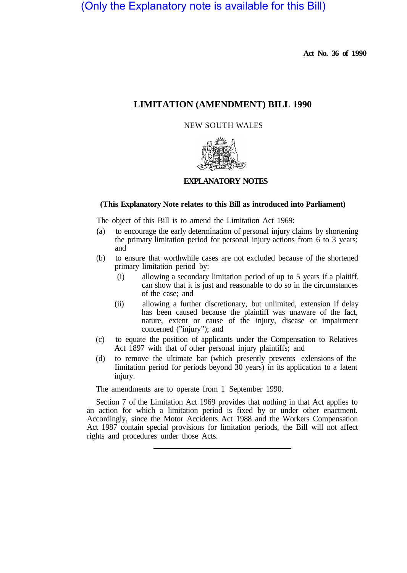(Only the Explanatory note is available for this Bill)

**Act No. 36 of 1990** 

# **LIMITATION (AMENDMENT) BILL 1990**

## NEW SOUTH WALES



# **EXPLANATORY NOTES**

## **(This Explanatory Note relates to this Bill as introduced into Parliament)**

The object of this Bill is to amend the Limitation Act 1969:

- (a) to encourage the early determination of personal injury claims by shortening the primary limitation period for personal injury actions from 6 to 3 years; and
- (b) to ensure that worthwhile cases are not excluded because of the shortened primary limitation period by:
	- (i) allowing a secondary limitation period of up to 5 years if a plaitiff. can show that it is just and reasonable to do so in the circumstances of the case; and
	- (ii) allowing a further discretionary, but unlimited, extension if delay has been caused because the plaintiff was unaware of the fact, nature, extent or cause of the injury, disease or impairment concerned ("injury"); and
- (c) to equate the position of applicants under the Compensation to Relatives Act 1897 with that of other personal injury plaintiffs; and
- (d) to remove the ultimate bar (which presently prevents exlensions of the Iimitation period for periods beyond  $30$  years) in its application to a latent injury.

The amendments are to operate from 1 September 1990.

Section 7 of the Limitation Act 1969 provides that nothing in that Act applies to an action for which a limitation period is fixed by or under other enactment. Accordingly, since the Motor Accidents Act 1988 and the Workers Compensation Act 1987 contain special provisions for limitation periods, the Bill will not affect rights and procedures under those Acts.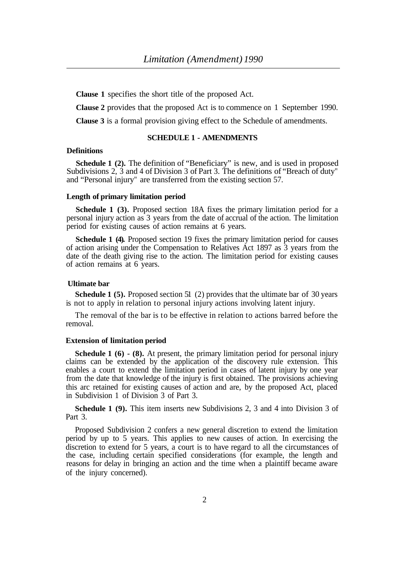**Clause 1** specifies the short title of the proposed Act.

**Clause 2** provides that the proposed Act is to commence on 1 September 1990.

**Clause 3** is a formal provision giving effect to the Schedule of amendments.

## **SCHEDULE 1 - AMENDMENTS**

## **Definitions**

**Schedule 1 (2).** The definition of "Beneficiary" is new, and is used in proposed Subdivisions 2, 3 and 4 of Division 3 of Part 3. The definitions of "Breach of duty" and "Personal injury" are transferred from the existing section 57.

#### **Length of primary limitation period**

**Schedule 1 (3).** Proposed section 18A fixes the primary limitation period for a personal injury action as 3 years from the date of accrual of the action. The limitation period for existing causes of action remains at 6 years.

**Schedule 1 (4).** Proposed section 19 fixes the primary limitation period for causes of action arising under the Compensation to Relatives Act 1897 as 3 years from the date of the death giving rise to the action. The limitation period for existing causes of action remains at 6 years.

## **Ultimate bar**

**Schedule 1 (5).** Proposed section 51 (2) provides that the ultimate bar of 30 years is not to apply in relation to personal injury actions involving latent injury.

The removal of the bar is to be effective in relation to actions barred before the removal.

## **Extension of limitation period**

**Schedule 1 (6) - (8).** At present, the primary limitation period for personal injury claims can be extended by the application of the discovery rule extension. This enables a court to extend the limitation period in cases of latent injury by one year from the date that knowledge of the injury is first obtained. The provisions achieving this arc retained for existing causes of action and are, by the proposed Act, placed in Subdivision 1 of Division 3 of Part 3.

**Schedule 1 (9).** This item inserts new Subdivisions 2, 3 and 4 into Division 3 of Part 3.

Proposed Subdivision 2 confers a new general discretion to extend the limitation period by up to 5 years. This applies to new causes of action. In exercising the discretion to extend for 5 years, a court is to have regard to all the circumstances of the case, including certain specified considerations (for example, the length and reasons for delay in bringing an action and the time when a plaintiff became aware of the injury concerned).